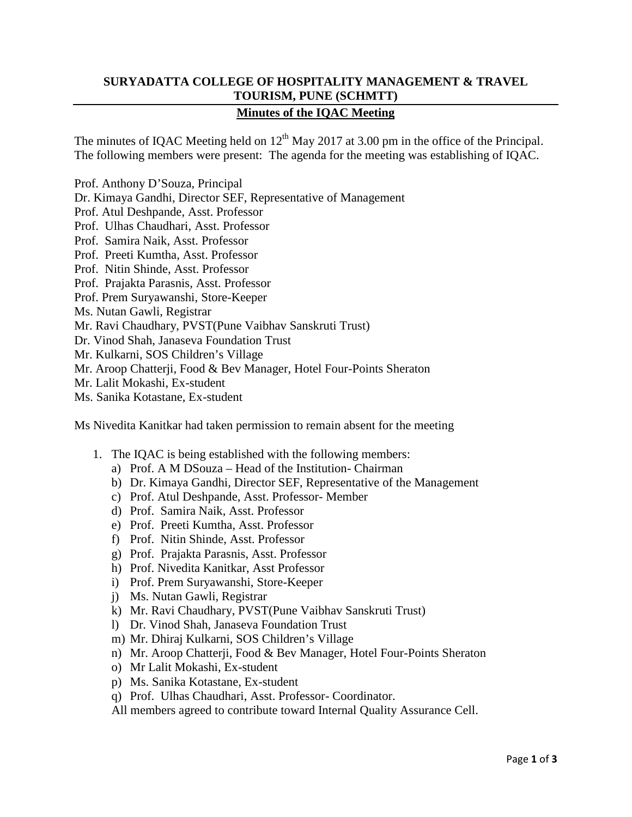## **SURYADATTA COLLEGE OF HOSPITALITY MANAGEMENT & TRAVEL TOURISM, PUNE (SCHMTT)**

## **Minutes of the IQAC Meeting**

The minutes of IQAC Meeting held on  $12^{th}$  May 2017 at 3.00 pm in the office of the Principal. The following members were present: The agenda for the meeting was establishing of IQAC.

- Prof. Anthony D'Souza, Principal
- Dr. Kimaya Gandhi, Director SEF, Representative of Management
- Prof. Atul Deshpande, Asst. Professor
- Prof. Ulhas Chaudhari, Asst. Professor
- Prof. Samira Naik, Asst. Professor
- Prof. Preeti Kumtha, Asst. Professor
- Prof. Nitin Shinde, Asst. Professor
- Prof. Prajakta Parasnis, Asst. Professor
- Prof. Prem Suryawanshi, Store-Keeper
- Ms. Nutan Gawli, Registrar
- Mr. Ravi Chaudhary, PVST(Pune Vaibhav Sanskruti Trust)
- Dr. Vinod Shah, Janaseva Foundation Trust
- Mr. Kulkarni, SOS Children's Village
- Mr. Aroop Chatterji, Food & Bev Manager, Hotel Four-Points Sheraton
- Mr. Lalit Mokashi, Ex-student
- Ms. Sanika Kotastane, Ex-student

Ms Nivedita Kanitkar had taken permission to remain absent for the meeting

- 1. The IQAC is being established with the following members:
	- a) Prof. A M DSouza Head of the Institution- Chairman
	- b) Dr. Kimaya Gandhi, Director SEF, Representative of the Management
	- c) Prof. Atul Deshpande, Asst. Professor- Member
	- d) Prof. Samira Naik, Asst. Professor
	- e) Prof. Preeti Kumtha, Asst. Professor
	- f) Prof. Nitin Shinde, Asst. Professor
	- g) Prof. Prajakta Parasnis, Asst. Professor
	- h) Prof. Nivedita Kanitkar, Asst Professor
	- i) Prof. Prem Suryawanshi, Store-Keeper
	- j) Ms. Nutan Gawli, Registrar
	- k) Mr. Ravi Chaudhary, PVST(Pune Vaibhav Sanskruti Trust)
	- l) Dr. Vinod Shah, Janaseva Foundation Trust
	- m) Mr. Dhiraj Kulkarni, SOS Children's Village
	- n) Mr. Aroop Chatterji, Food & Bev Manager, Hotel Four-Points Sheraton
	- o) Mr Lalit Mokashi, Ex-student
	- p) Ms. Sanika Kotastane, Ex-student
	- q) Prof. Ulhas Chaudhari, Asst. Professor- Coordinator.
	- All members agreed to contribute toward Internal Quality Assurance Cell.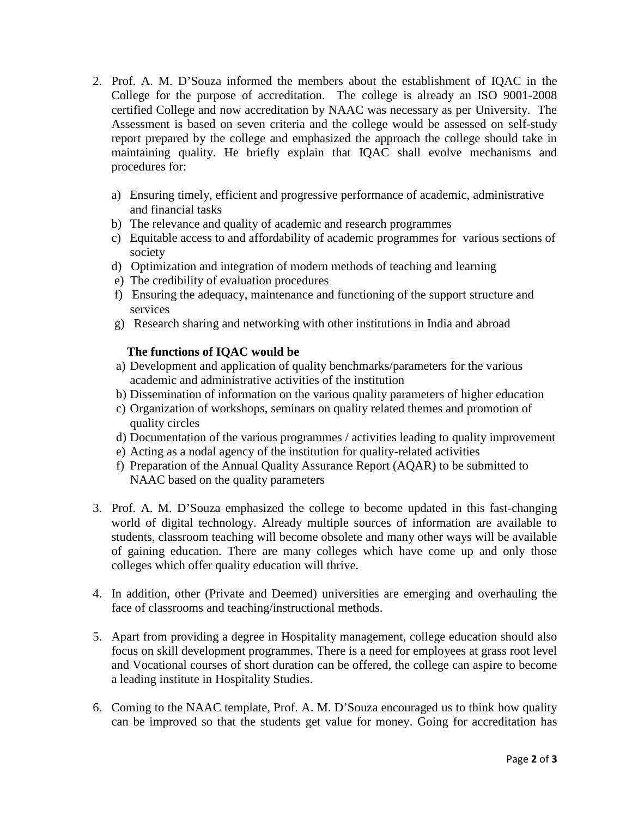- 2. Prof. A. M. D'Souza informed the members about the establishment of IQAC in the College for the purpose of accreditation. The college is already an ISO 9001-2008 certified College and now accreditation by NAAC was necessary as per University. The Assessment is based on seven criteria and the college would be assessed on self-study report prepared by the college and emphasized the approach the college should take in maintaining quality. He briefly explain that IQAC shall evolve mechanisms and procedures for:
	- a) Ensuring timely, efficient and progressive performance of academic, administrative and financial tasks
	- b) The relevance and quality of academic and research programmes
	- c) Equitable access to and affordability of academic programmes for various sections of society
	- d) Optimization and integration of modern methods of teaching and learning
	- e) The credibility of evaluation procedures
	- f) Ensuring the adequacy, maintenance and functioning of the support structure and services
	- g) Research sharing and networking with other institutions in India and abroad

## **The functions of IQAC would be**

- a) Development and application of quality benchmarks/parameters for the various academic and administrative activities of the institution
- b) Dissemination of information on the various quality parameters of higher education
- c) Organization of workshops, seminars on quality related themes and promotion of quality circles
- d) Documentation of the various programmes / activities leading to quality improvement
- e) Acting as a nodal agency of the institution for quality-related activities
- f) Preparation of the Annual Quality Assurance Report (AQAR) to be submitted to NAAC based on the quality parameters
- 3. Prof. A. M. D'Souza emphasized the college to become updated in this fast-changing world of digital technology. Already multiple sources of information are available to students, classroom teaching will become obsolete and many other ways will be available of gaining education. There are many colleges which have come up and only those colleges which offer quality education will thrive.
- 4. In addition, other (Private and Deemed) universities are emerging and overhauling the face of classrooms and teaching/instructional methods.
- 5. Apart from providing a degree in Hospitality management, college education should also focus on skill development programmes. There is a need for employees at grass root level and Vocational courses of short duration can be offered, the college can aspire to become a leading institute in Hospitality Studies.
- 6. Coming to the NAAC template, Prof. A. M. D'Souza encouraged us to think how quality can be improved so that the students get value for money. Going for accreditation has